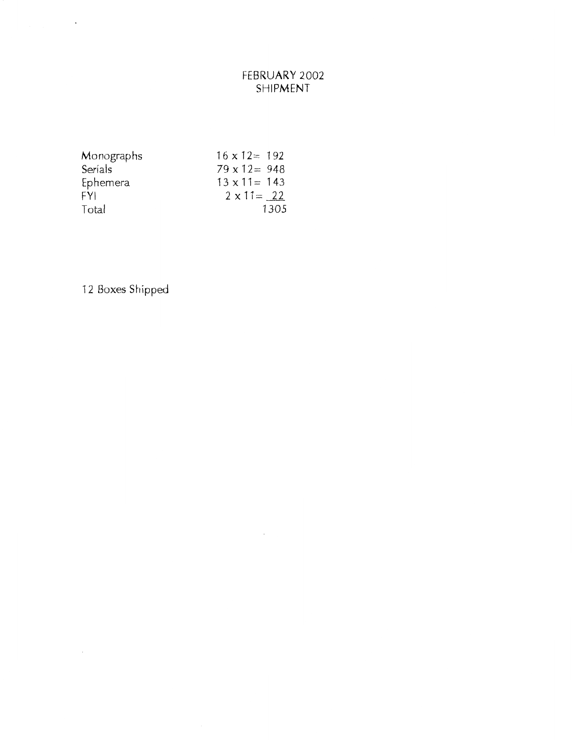# FEBRUARY 2002 SHIPMENT

 $\bar{z}$ 

| Monographs | $16 \times 12 = 192$ |
|------------|----------------------|
| Serials    | $79 \times 12 = 948$ |
| Ephemera   | $13 \times 11 = 143$ |
| FYI.       | $2 \times 11 = 22$   |
| Total      | 1305                 |

12 Boxes Shipped

 $\ddot{\phantom{0}}$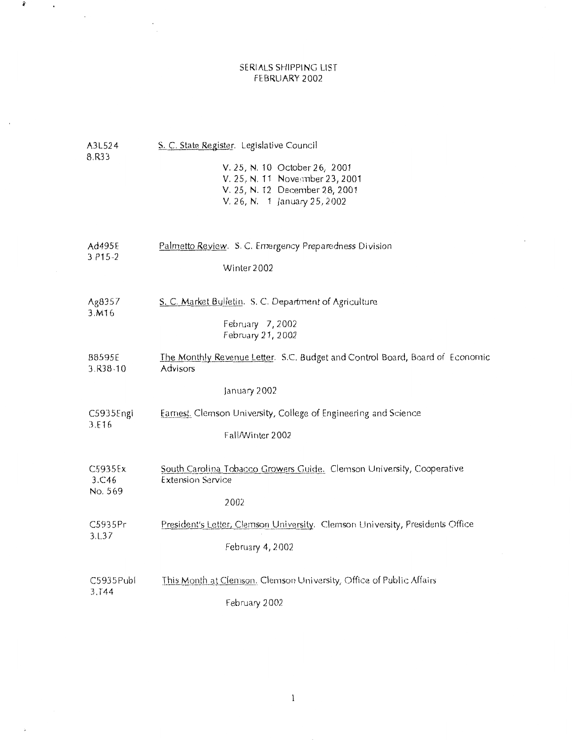### SERIALS SHIPPING LIST FEBRUARY 2002

 $\hat{r}$ 

 $\lambda$ 

 $\mathcal{L}^{\mathcal{L}}(\mathcal{A})$ 

 $\sim$ 

 $\bigoplus$ 

| A3L524<br>8.R33    | S. C. State Register. Legislative Council<br>V. 25, N. 10 October 26, 2001<br>V. 25, N. 11 November 23, 2001<br>V. 25, N. 12 December 28, 2001<br>V. 26, N. 1 January 25, 2002 |
|--------------------|--------------------------------------------------------------------------------------------------------------------------------------------------------------------------------|
| Ad495E             | Palmetto Review. S. C. Emergency Preparedness Division                                                                                                                         |
| $3. P15 - 2$       | Winter 2002                                                                                                                                                                    |
| Ag8357<br>3.M16    | S. C. Market Bulletin. S. C. Department of Agriculture<br>February 7, 2002<br>February 21, 2002                                                                                |
| B8595E<br>3.R38-10 | The Monthly Revenue Letter. S.C. Budget and Control Board, Board of Economic<br>Advisors<br>January 2002                                                                       |
| C5935Engi          | Earnest. Clemson University, College of Engineering and Science                                                                                                                |
| 3.E16              | Fall/Winter 2002                                                                                                                                                               |
| C5935Ex            | South Carolina Tobacco Growers Guide. Clemson University, Cooperative                                                                                                          |
| 3.C46              | <b>Extension Service</b>                                                                                                                                                       |
| No. 569            | 2002                                                                                                                                                                           |
| C5935Pr            | President's Letter, Clemson University. Clemson University, Presidents Office                                                                                                  |
| 3.1.37             | February 4, 2002                                                                                                                                                               |
| C5935Publ          | This Month at Clemson. Clemson University, Office of Public Affairs                                                                                                            |
| 3.144              | Fehruary 2002                                                                                                                                                                  |

 $\bf{l}$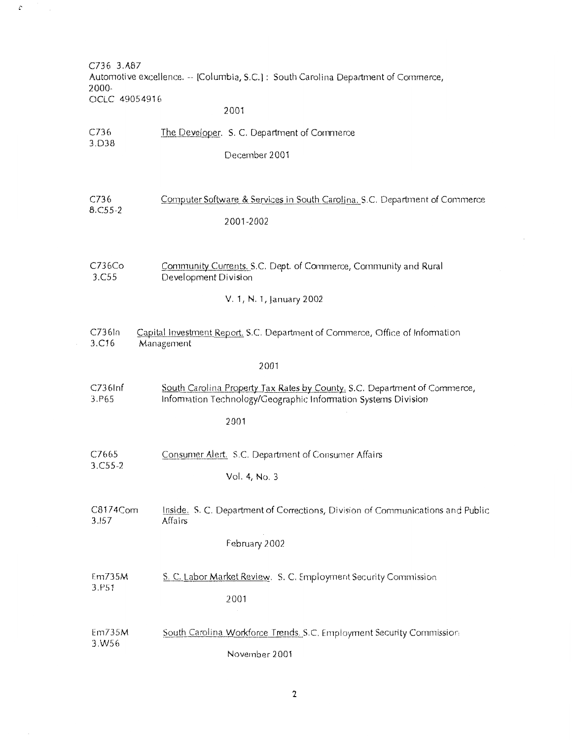C736 3.A87 Automotive excellence.-- [Columbia, S.C.): South Carolina Department of Commerce, 2000- OCLC 49054916

# 2001

 $\mathcal{C}$ 

| C736<br>3.D38     | The Developer. S. C. Department of Commerce                                                                                                 |
|-------------------|---------------------------------------------------------------------------------------------------------------------------------------------|
|                   | December 2001                                                                                                                               |
|                   |                                                                                                                                             |
| C736<br>8.C55-2   | Computer Software & Services in South Carolina, S.C. Department of Commerce                                                                 |
|                   | 2001-2002                                                                                                                                   |
| C736Co<br>3.C55   | Community Currents, S.C. Dept. of Commerce, Community and Rural<br>Development Division                                                     |
|                   | V. 1, N. 1, January 2002                                                                                                                    |
| C736In<br>3.C16   | Capital Investment Report, S.C. Department of Commerce, Office of Information<br>Management                                                 |
|                   | 2001                                                                                                                                        |
| C736lnf<br>3.P65  | South Carolina Property Tax Rates by County, S.C. Department of Commerce,<br>Information Technology/Geographic Information Systems Division |
|                   | 2001                                                                                                                                        |
| C7665<br>3.C55-2  | Consumer Alert. S.C. Department of Consumer Affairs                                                                                         |
|                   | Vol. 4, No. 3                                                                                                                               |
| C8174Com<br>3.157 | Inside. S. C. Department of Corrections, Division of Communications and Public<br>Affairs                                                   |
|                   | February 2002                                                                                                                               |
| Em735M<br>3.P51   | S. C. Labor Market Review. S. C. Employment Security Commission                                                                             |
|                   | 2001                                                                                                                                        |
| Em735M<br>3.W56   | South Carolina Workforce Trends. S.C. Employment Security Commission                                                                        |
|                   | November 2001                                                                                                                               |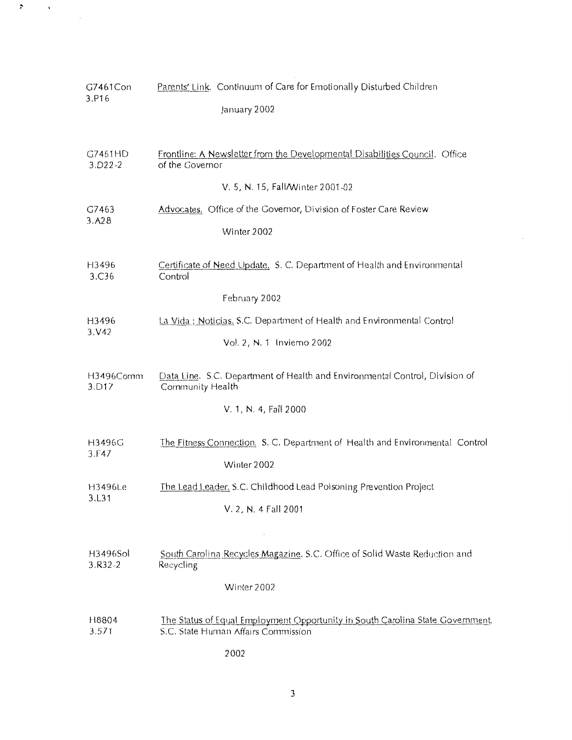| G7461Con<br>3.P16          | Parents' Link. Continuum of Care for Emotionally Disturbed Children<br>January 2002                                   |
|----------------------------|-----------------------------------------------------------------------------------------------------------------------|
| G7461HD<br>$3. D22 - 2$    | Frontline: A Newsletter from the Developmental Disabilities Council. Office<br>of the Governor                        |
|                            | V. 5, N. 15, Fall/Winter 2001-02                                                                                      |
| G7463                      | Advocates. Office of the Governor, Division of Foster Care Review                                                     |
| 3. A28                     | Winter 2002                                                                                                           |
| H3496<br>3.C <sub>36</sub> | Certificate of Need Update, S. C. Department of Health and Environmental<br>Control                                   |
|                            | February 2002                                                                                                         |
| H3496<br>3. V42            | La Vida : Noticias, S.C. Department of Health and Environmental Control                                               |
|                            | Vol. 2, N. 1 Invierno 2002                                                                                            |
| H3496Comm<br>3.D17         | Data Line. S.C. Department of Health and Environmental Control, Division of<br>Community Health                       |
|                            | V. 1, N. 4, Fall 2000                                                                                                 |
| H3496G<br>3.F47            | The Fitness Connection. S. C. Department of Health and Environmental Control                                          |
|                            | Winter 2002                                                                                                           |
| H3496Le<br>3.L31           | The Lead Leader, S.C. Childhood Lead Poisoning Prevention Project                                                     |
|                            | V. 2, N. 4 Fall 2001                                                                                                  |
|                            |                                                                                                                       |
| H3496Sol<br>$3.R32-2$      | South Carolina Recycles Magazine. S.C. Office of Solid Waste Reduction and<br>Recycling                               |
|                            | Winter 2002                                                                                                           |
| H8804<br>3.571             | The Status of Equal Employment Opportunity in South Carolina State Government.<br>S.C. State Human Affairs Commission |

 $\boldsymbol{z}$ 

 $\mathcal{A}$ 

 $\ddot{\phantom{0}}$ 

2002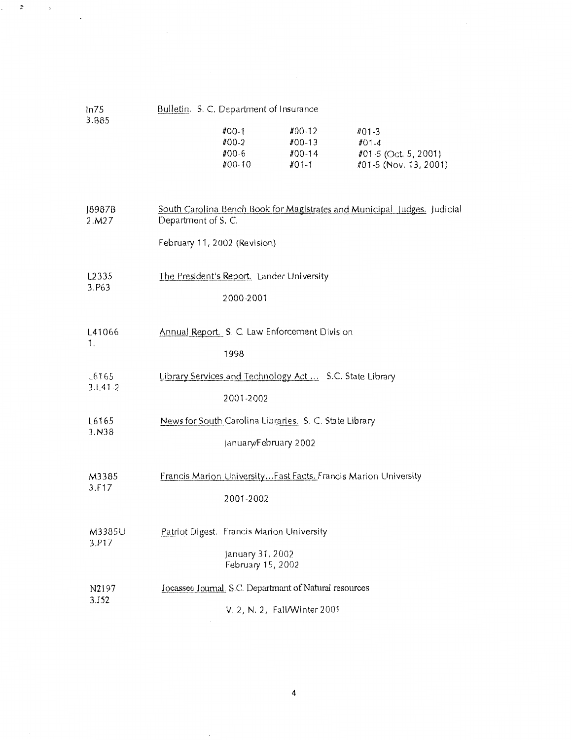| ln75                        | Bulletin. S. C. Department of Insurance             |                                                                                    |                                                         |                                                                          |
|-----------------------------|-----------------------------------------------------|------------------------------------------------------------------------------------|---------------------------------------------------------|--------------------------------------------------------------------------|
| 3.B85                       |                                                     | #00-1<br>#00-2<br>$#00 - 6$<br>#00-10                                              | $#00-12$<br>#00-13<br>#00-14<br>#01-1                   | $#01-3$<br>$#01 - 4$<br>#01-5 (Oct. 5, 2001)<br>#01-5 (Nov. 13, 2001)    |
| 8987B<br>2.M27              | Department of S. C.<br>February 11, 2002 (Revision) |                                                                                    |                                                         | South Carolina Bench Book for Magistrates and Municipal Judges. Judicial |
| L <sub>2</sub> 335<br>3.P63 |                                                     | The President's Report. Lander University<br>2000-2001                             |                                                         |                                                                          |
| L41066<br>1.                |                                                     | 1998                                                                               | Annual Report. S. C. Law Enforcement Division           |                                                                          |
| L6165<br>$3.1 - 41 - 2$     |                                                     | 2001-2002                                                                          | Library Services and Technology Act  S.C. State Library |                                                                          |
| L6165<br>3.N38              |                                                     | January/February 2002                                                              | News for South Carolina Libraries. S. C. State Library  |                                                                          |
| M3385<br>3.F17              |                                                     | 2001-2002                                                                          |                                                         | Francis Marion University Fast Facts. Francis Marion University          |
| M3385U<br>3.P17             |                                                     | Patriot Digest. Francis Marion University<br>January 31, 2002<br>February 15, 2002 |                                                         |                                                                          |
| N2197<br>3.152              |                                                     | V. 2, N. 2, Fall/Winter 2001                                                       | Jocassee Journal, S.C. Departmant of Natural resources  |                                                                          |

 $\mathcal{L}^{\text{max}}_{\text{max}}$ 

 $\bar{z}$ 

 $\mathbf{r}$ 

 $\mathfrak s$ 

 $\ddot{\phantom{a}}$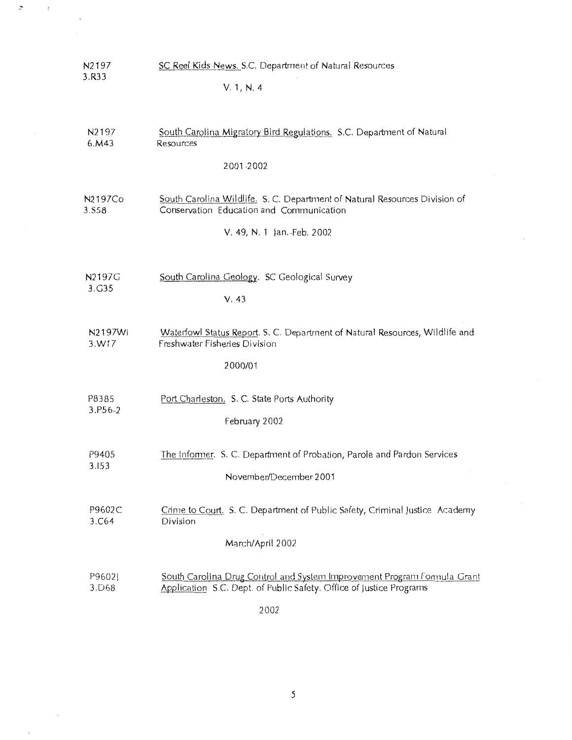| N2197                        | SC Reel Kids News. S.C. Department of Natural Resources                                                                                         |  |  |
|------------------------------|-------------------------------------------------------------------------------------------------------------------------------------------------|--|--|
| 3.R33                        | V. 1, N. 4                                                                                                                                      |  |  |
|                              |                                                                                                                                                 |  |  |
| N <sub>2</sub> 197<br>6. M43 | South Carolina Migratory Bird Regulations. S.C. Department of Natural<br>Resources                                                              |  |  |
|                              | 2001-2002                                                                                                                                       |  |  |
|                              |                                                                                                                                                 |  |  |
| N2197Co<br>3.S58             | South Carolina Wildlife. S. C. Department of Natural Resources Division of<br>Conservation Education and Communication                          |  |  |
|                              | V. 49, N. 1 Jan. Feb. 2002                                                                                                                      |  |  |
|                              |                                                                                                                                                 |  |  |
| N2197G<br>3.G35              | South Carolina Geology. SC Geological Survey                                                                                                    |  |  |
|                              | V.43                                                                                                                                            |  |  |
| N2197Wi<br>3.W17             | Waterfowl Status Report. S. C. Department of Natural Resources, Wildlife and<br>Freshwater Fisheries Division                                   |  |  |
|                              | 2000/01                                                                                                                                         |  |  |
|                              |                                                                                                                                                 |  |  |
| P8385                        | Port Charleston. S. C. State Ports Authority                                                                                                    |  |  |
| 3.P56-2                      | February 2002                                                                                                                                   |  |  |
|                              |                                                                                                                                                 |  |  |
| P9405                        | The Informer. S. C. Department of Probation, Parole and Pardon Services                                                                         |  |  |
| 3.153                        | November/December 2001                                                                                                                          |  |  |
|                              |                                                                                                                                                 |  |  |
| P9602C<br>3.C64              | Crime to Court. S. C. Department of Public Safety, Criminal Justice Academy<br>Division                                                         |  |  |
|                              |                                                                                                                                                 |  |  |
|                              | March/April 2002                                                                                                                                |  |  |
| P9602J<br>3.D68              | South Carolina Drug Control and System Improvement Program Formula Grant<br>Application S.C. Dept. of Public Safety. Office of Justice Programs |  |  |
|                              |                                                                                                                                                 |  |  |
|                              |                                                                                                                                                 |  |  |

 $\geq$ 

 $\tilde{\mathbf{z}}$ 

2002

 $\overline{\mathbf{5}}$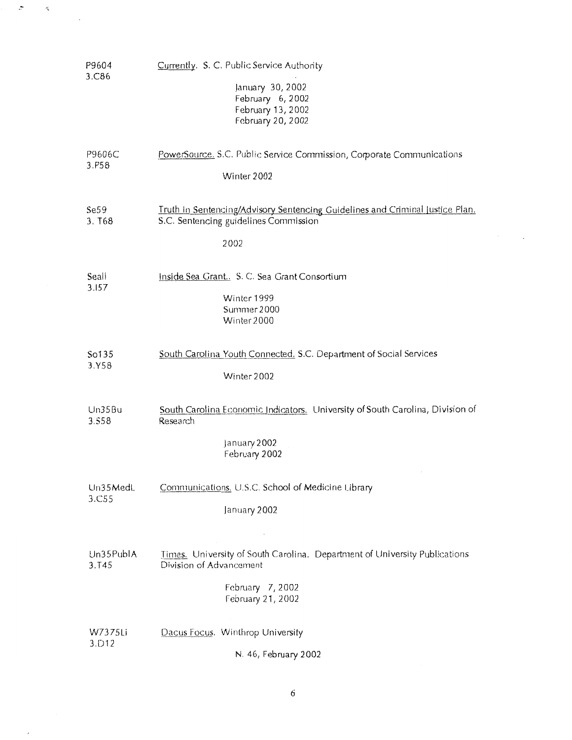| P9604<br>3.C86             | Currently. S. C. Public Service Authority<br>January 30, 2002<br>February 6, 2002<br>February 13, 2002<br>February 20, 2002                    |
|----------------------------|------------------------------------------------------------------------------------------------------------------------------------------------|
| P9606C<br>3.P58            | PowerSource, S.C. Public Service Commission, Corporate Communications<br>Winter 2002                                                           |
| Se59<br>3. T <sub>68</sub> | Truth in Sentencing/Advisory Sentencing Guidelines and Criminal Justice Plan.<br>S.C. Sentencing guidelines Commission<br>2002                 |
| Seall<br>3.157             | Inside Sea Grant S. C. Sea Grant Consortium<br>Winter 1999<br>Summer 2000<br>Winter 2000                                                       |
| So135<br>3.Y58             | South Carolina Youth Connected. S.C. Department of Social Services<br>Winter 2002                                                              |
| Un35Bu<br>3.558            | South Carolina Economic Indicators. University of South Carolina, Division of<br>Research<br>January 2002<br>February 2002                     |
| $Un35$ MedL<br>3.C55       | Communications, U.S.C. School of Medicine Library<br>January 2002                                                                              |
| Un35PublA<br>3.145         | Times. University of South Carolina. Department of University Publications<br>Division of Advancement<br>February 7, 2002<br>February 21, 2002 |
| W7375Li<br>3.D12           | Dacus Focus. Winthrop University<br>N. 46, February 2002                                                                                       |

 $\epsilon$ 

 $\overline{\phantom{a}}$ 

 $\cdot$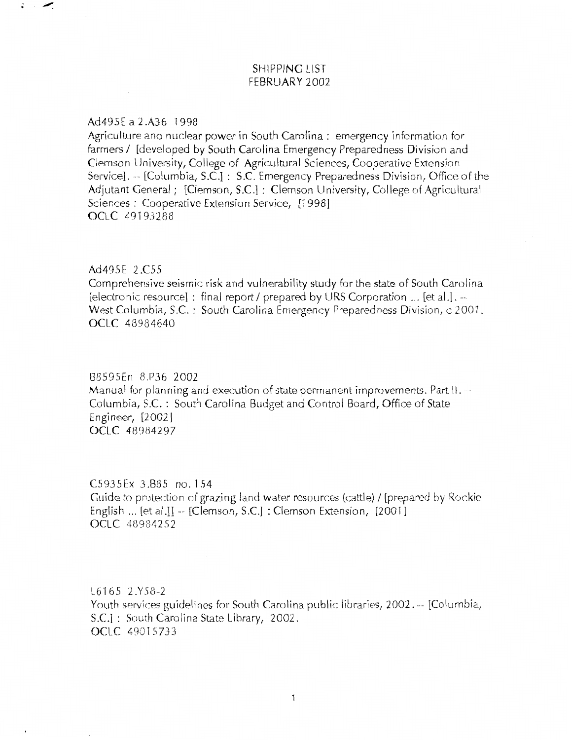## SHIPPING LIST FEBRUARY 2002

#### Ad495E a 2 .AJ6 1998

Agriculture and nuclear power in South Carolina: emergency information for farmers / [developed by South Carolina Emergency Preparedness Division and Clemson University, College of Agricultural Sciences, Cooperative Extension Service]. -- [Columbia, S.C.] : S.C. Emergency Preparedness Division, Office of the Adjutant General; [Clemson, S.C.]: Clemson University, College of Agricultural Sciences : Cooperative Extension Service, [1998] OCLC 49193288

### Ad495E 2.C55

Comprehensive seismic risk and vulnerability study for the state of South Carolina (electronic resource] : final report I prepared by URS Corporation ... [et al.1. -- West Columbia, S.C. : South Carolina Emergency Preparedness Division, c 2001. OCLC 48984640

#### GB595En 8.P36 2002

Manual for planning and execution of state permanent improvements. Part II.-- Columbia, S.C. : South Carolina Budget and Control Board, Office of State Engineer, [2002] OCLC 48984297

### C5935Ex 3.885 no. 154

Guide to protection of grazing land water resources (cattle) / [prepared by Rockie] English ... [et al.]]  $-$  [Clemson, S.C.] : Clemson Extension,  $[2001]$ OCLC 48984252

L6165 2.Y58-2 Youth services guidelines for South Carolina public libraries, 2002. -- [Columbia, S.C.]: South Carolina State Library, 2002. OCLC 49015733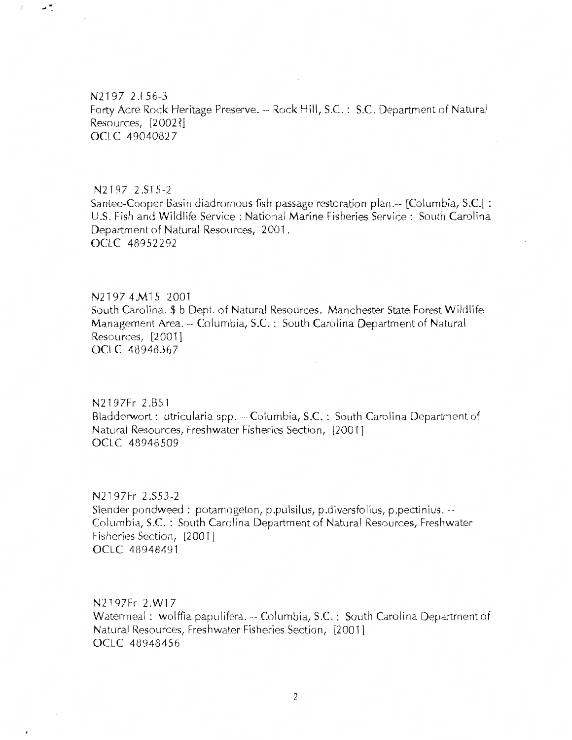N2197 2.FS6-3 Forty Acre Rock Heritage Preserve.-- Rock Hill, S.C.: S.C. Department of Natural Resources, [2 002 ?] OCLC 49040827

ی م

 $\zeta$ 

N2197 2.S15-2 Santee-Cooper Basin diadromous fish passage restoration plan.-- [Columbia, S.C.] : U.S. Fish and Wildlife Service: National Marine Fisheries Service: South Carolina Department of Natural Resources, 2001. OCLC 48952292

N 2 1 9 7 4 M 1 5 2 0 0 1 South Carolina.\$ b Dept. of Natural Resources. Manchester State Forest Wildlife Management Area.-- Columbia, S.C.: South Carolina Department of Natural Resources, [2001] OCLC 48948367

N2197Fr 2 .B51 Bladderwort: utricularia spp. -- Columbia, S.C. : South Carolina Department of Natural Resources, Freshwater Fisheries Section, [200'11 OCLC 48948509

N2197Fr 2 .SSJ-2 Slender pondweed : potarnogeton, p.pulsilus, p.diversfolius, p.pectinius. --- Columbia, S.C. : South Carolina Department of Natural Resources, Freshwater Fisheries Section, [200 1] OCLC 4a94B491

N2197Fr 2 W17 Watermeal : wolffia papulifera. -- Columbia, S.C. : South Carolina Department of Natural Resources, Freshwater Fisheries Section, [20011 OCLC 48948456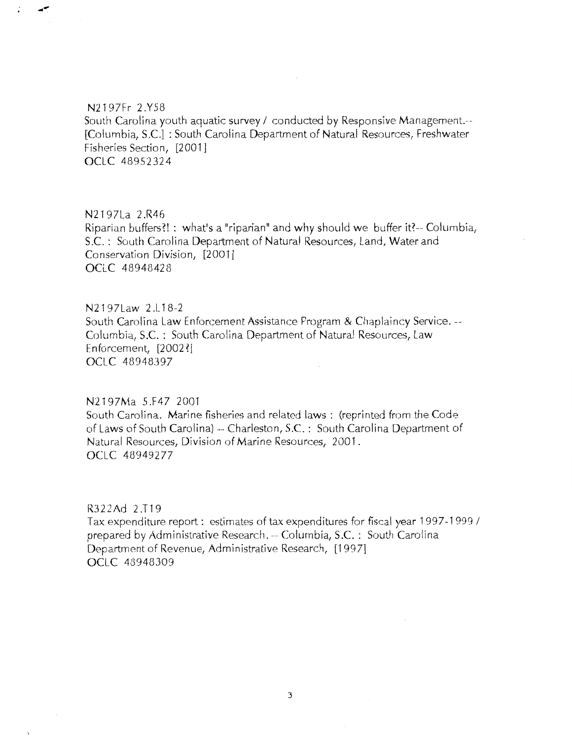### N2197Fr 2.Y58

South Carolina youth aquatic survey / conducted by Responsive Management.--[Columbia, S.C.] : South Carolina Department of Natural Resources, Freshwater Fisheries Section, [2001] OCLC 48952324

 $\sim$ 

N2197La 2.R46 Riparian buffers?! : what's a "riparian" and why should we buffer it?-- Columbia, S.C. : South Carolina Department of Natural Resources, Land, Water and Conservation Division, [2001] OCLC 48948428

N2197Law 2.L18-2 South Carolina Law Enforcement Assistance Program & Chaplaincy Service.-- Columbia, S.C. : South Carolina Department of Natural Resources, Law Enforcement, [2002 ?! OCLC 48948397

N2197Ma 5.F47 2001

South Carolina. Marine fisheries and related laws : (reprinted from the Code of Laws of South Carolina)--- Charleston, S.C.: South Carolina Department of Natural Resources, Division of Marine Resources, 2001. OCLC 48949277

R322Ad 2.T19 Tax expenditure report: estimates of tax expenditures for fiscal year 1997-1999 / prepared by Administrative Research.-- Columbia, S.C. : South Carolina Department of Revenue, Administrative Research, [1997] OCLC 48948309